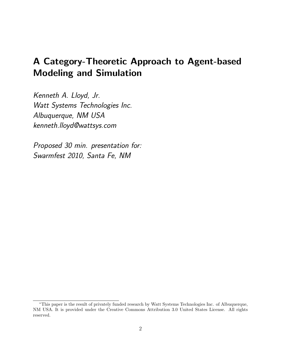# A Category-Theoretic Approach to Agent-based Modeling and Simulation

Kenneth A. Lloyd, Jr. Watt Systems Technologies Inc. Albuquerque, NM USA kenneth.lloyd@wattsys.com

Proposed 30 min. presentation for: Swarmfest 2010, Santa Fe, NM

<sup>∗</sup>This paper is the result of privately funded research by Watt Systems Technologies Inc. of Albuquerque, NM USA. It is provided under the Creative Commons Attribution 3.0 United States License. All rights reserved.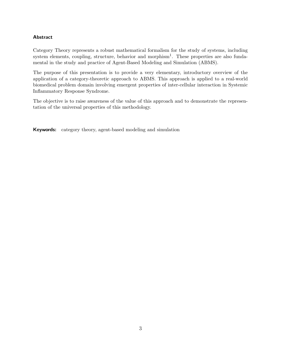#### Abstract

Category Theory represents a robust mathematical formalism for the study of systems, including system elements, coupling, structure, behavior and morphism<sup>1</sup>. These properties are also fundamental in the study and practice of Agent-Based Modeling and Simulation (ABMS).

The purpose of this presentation is to provide a very elementary, introductory overview of the application of a category-theoretic approach to ABMS. This approach is applied to a real-world biomedical problem domain involving emergent properties of inter-cellular interaction in Systemic Inflammatory Response Syndrome.

The objective is to raise awareness of the value of this approach and to demonstrate the representation of the universal properties of this methodology.

Keywords: category theory, agent-based modeling and simulation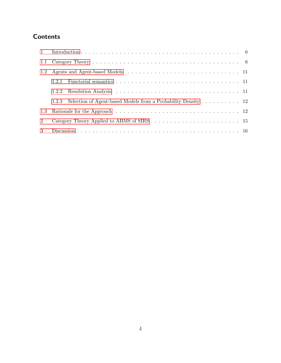## **Contents**

| 1.1                         |                                                                        |  |
|-----------------------------|------------------------------------------------------------------------|--|
| 1.2                         |                                                                        |  |
|                             | 1.2.1                                                                  |  |
|                             | 1.2.2                                                                  |  |
|                             | Selection of Agent-based Models from a Probability Density 12<br>1.2.3 |  |
| 1.3                         |                                                                        |  |
| $\mathcal{D}_{\mathcal{L}}$ |                                                                        |  |
| $\mathcal{R}$               |                                                                        |  |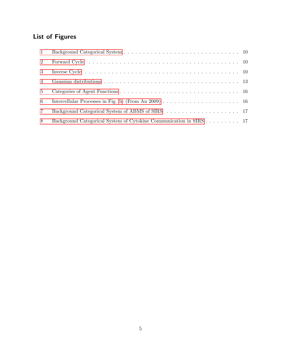## List of Figures

| $\mathbf{1}$    |                                                                    |  |
|-----------------|--------------------------------------------------------------------|--|
| 2               |                                                                    |  |
| 3               |                                                                    |  |
| 4               |                                                                    |  |
| 5 <sup>5</sup>  |                                                                    |  |
| 6               |                                                                    |  |
| $7\phantom{.0}$ |                                                                    |  |
| 8               | Background Categorical System of Cytokine Communication in SIRS 17 |  |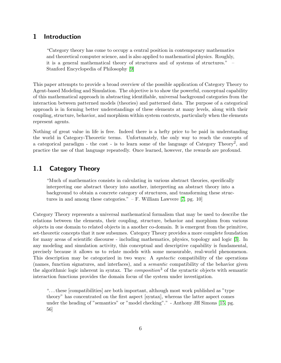## <span id="page-4-0"></span>1 Introduction

"Category theory has come to occupy a central position in contemporary mathematics and theoretical computer science, and is also applied to mathematical physics. Roughly, it is a general mathematical theory of structures and of systems of structures." – Stanford Encyclopedia of Philosophy [\[9\]](#page-17-0)

This paper attempts to provide a broad overview of the possible application of Category Theory to Agent-based Modeling and Simulation. The objective is to show the powerful, conceptual capability of this mathematical approach in abstracting identifiable, universal background categories from the interaction between patterned models (theories) and patterned data. The purpose of a categorical approach is in forming better understandings of these elements at many levels, along with their coupling, structure, behavior, and morphism within system contexts, particularly when the elements represent agents.

Nothing of great value in life is free. Indeed there is a hefty price to be paid in understanding the world in Category-Theoretic terms. Unfortunately, the only way to reach the concepts of a categorical paradigm - the cost - is to learn some of the language of Category Theory<sup>2</sup>, and practice the use of that language repeatedly. Once learned, however, the rewards are profound.

## <span id="page-4-1"></span>1.1 Category Theory

"Much of mathematics consists in calculating in various abstract theories, specifically interpreting one abstract theory into another, interpreting an abstract theory into a background to obtain a concrete category of structures, and transforming these structures in and among these categories."  $- F$ . William Lawvere [\[7,](#page-17-1) pg. 10]

Category Theory represents a universal mathematical formalism that may be used to describe the relations between the elements, their coupling, structure, behavior and morphism from various objects in one domain to related objects in a another co-domain. It is emergent from the primitive, set-theoretic concepts that it now subsumes. Category Theory provides a more complete foundation for many areas of scientific discourse - including mathematics, physics, topology and logic [\[3\]](#page-16-0). In any modeling and simulation activity, this conceptual and descriptive capability is fundamental, precisely because it allows us to relate models with some measurable, real-world phenomenon. This description may be categorized in two ways: A syntactic compatibility of the operations (names, function signatures, and interfaces), and a semantic compatibility of the behavior given the algorithmic logic inherent in syntax. The *composition*<sup>3</sup> of the syntactic objects with semantic interaction functions provides the domain focus of the system under investigation.

". . . these [compatibilities] are both important, although most work published as "type theory" has concentrated on the first aspect [syntax], whereas the latter aspect comes under the heading of "semantics" or "model checking"." - Anthony JH Simons [\[15,](#page-17-2) pg. 56]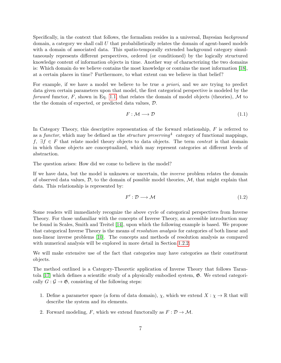Specifically, in the context that follows, the formalism resides in a universal, Bayesian background domain, a category we shall call  $U$  that probabilistically relates the domain of agent-based models with a domain of associated data. This spatio-temporally extended background category simultaneously represents different perspectives, ordered (or conditioned) by the logically structured knowledge content of information objects in time. Another way of characterizing the two domains is: Which domain do we believe contains the most knowledge or contains the most information [\[18\]](#page-18-0), at a certain places in time? Furthermore, to what extent can we believe in that belief?

For example, if we have a model we believe to be true a priori, and we are trying to predict data given certain parameters upon that model, the first categorical perspective is modeled by the forward functor, F, shown in Eq. [1.1,](#page-5-0) that relates the domain of model objects (theories), M to the the domain of expected, or predicted data values, D.

<span id="page-5-0"></span>
$$
F: \mathcal{M} \longrightarrow \mathcal{D} \tag{1.1}
$$

In Category Theory, this descriptive representation of the forward relationship,  $F$  is referred to as a functor, which may be defined as the *structure preserving*<sup>4</sup> category of functional mappings, f,  $\exists f \in F$  that relate model theory objects to data objects. The term *context* is that domain in which those objects are conceptualized, which may represent categories at different levels of abstraction.

The question arises: How did we come to believe in the model?

If we have data, but the model is unknown or uncertain, the inverse problem relates the domain of observed data values,  $\mathcal{D}$ , to the domain of possible model theories,  $\mathcal{M}$ , that might explain that data. This relationship is represented by:

<span id="page-5-1"></span>
$$
F': \mathcal{D} \longrightarrow \mathcal{M} \tag{1.2}
$$

Some readers will immediately recognize the above cycle of categorical perspectives from Inverse Theory. For those unfamiliar with the concepts of Inverse Theory, an accessible introduction may be found in Scales, Smith and Treitel [\[14\]](#page-17-3), upon which the following example is based. We propose that categorical Inverse Theory is the means of resolution analysis for categories of both linear and non-linear inverse problems [\[10\]](#page-17-4). The concepts and methods of resolution analysis as compared with numerical analysis will be explored in more detail in Section [1.2.2.](#page-9-2)

We will make extensive use of the fact that categories may have categories as their constituent objects.

The method outlined is a Category-Theoretic application of Inverse Theory that follows Tarantola  $[17]$  which defines a scientific study of a physically embodied system,  $\mathfrak{G}$ . We extend categorically  $G : \mathcal{G} \to \mathfrak{G}$ , consisting of the following steps:

- 1. Define a parameter space (a form of data domain),  $\chi$ , which we extend  $X : \chi \to \mathbb{R}$  that will describe the system and its elements.
- 2. Forward modeling, F, which we extend functorally as  $F: \mathcal{D} \to \mathcal{M}$ .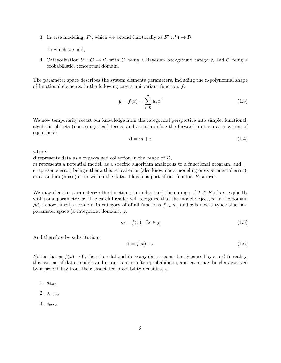3. Inverse modeling, F', which we extend functorally as  $F' : \mathcal{M} \to \mathcal{D}$ .

To which we add,

4. Categorization  $U: G \to \mathcal{C}$ , with U being a Bayesian background category, and C being a probabilistic, conceptual domain.

The parameter space describes the system elements parameters, including the n-polynomial shape of functional elements, in the following case a uni-variant function, f:

$$
y = f(x) = \sum_{i=0}^{n} w_i x^i
$$
 (1.3)

We now temporarily recast our knowledge from the categorical perspective into simple, functional, algebraic objects (non-categorical) terms, and as such define the forward problem as a system of  $equations<sup>5</sup>$ :

<span id="page-6-1"></span>
$$
\mathbf{d} = m + \epsilon \tag{1.4}
$$

where,

**d** represents data as a type-valued collection in the *range* of  $D$ ,

m represents a potential model, as a specific algorithm analogous to a functional program, and  $\epsilon$  represents error, being either a theoretical error (also known as a modeling or experimental error), or a random (noise) error within the data. Thus,  $\epsilon$  is part of our functor,  $F$ , above.

We may elect to parameterize the functions to understand their range of  $f \in F$  of m, explicitly with some parameter,  $x$ . The careful reader will recognize that the model object,  $m$  in the domain M, is now, itself, a co-domain category of of all functions  $f \in m$ , and x is now a type-value in a parameter space (a categorical domain),  $\chi$ .

$$
m = f(x), \ \exists x \in \chi \tag{1.5}
$$

And therefore by substitution:

<span id="page-6-0"></span>
$$
\mathbf{d} = f(x) + \epsilon \tag{1.6}
$$

Notice that as  $f(x) \to 0$ , then the relationship to any data is consistently caused by error! In reality, this system of data, models and errors is most often probabilistic, and each may be characterized by a probability from their associated probability densities,  $\rho$ .

- 1.  $\rho_{data}$
- 2.  $\rho_{model}$
- 3.  $\rho_{error}$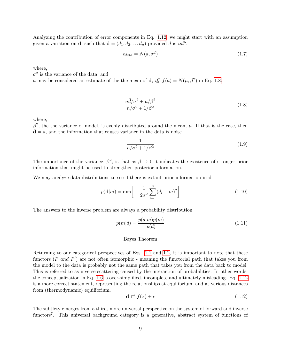Analyzing the contribution of error components in Eq. [1.12,](#page-7-0) we might start with an assumption given a variation on **d**, such that  $\mathbf{d} = (d_1, d_2, \dots, d_n)$  provided d is  $iid^6$ .

$$
\epsilon_{data} = N(a, \sigma^2) \tag{1.7}
$$

where,

 $\sigma^2$  is the variance of the data, and

a may be considered an estimate of the the mean of **d**, iff  $f(a) = N(\mu, \beta^2)$  in Eq. [1.8.](#page-7-1)

<span id="page-7-1"></span>
$$
\frac{n\bar{d}/\sigma^2 + \mu/\beta^2}{n/\sigma^2 + 1/\beta^2} \tag{1.8}
$$

where,

 $β<sup>2</sup>$ , the the variance of model, is evenly distributed around the mean, μ. If that is the case, then  $\bar{\mathbf{d}} = a$ , and the information that causes variance in the data is noise.

$$
\frac{1}{n/\sigma^2 + 1/\beta^2} \tag{1.9}
$$

The importance of the variance,  $\beta^2$ , is that as  $\beta \to 0$  it indicates the existence of stronger prior information that might be used to strengthen posterior information.

We may analyze data distributions to see if there is extant prior information in **d** 

$$
p(\mathbf{d}|m) = \exp\bigg[-\frac{1}{2\sigma^2} \sum_{i=1}^n (d_i - m)^2\bigg]
$$
 (1.10)

The answers to the inverse problem are always a probability distribution

$$
p(m|d) = \frac{p(d|m)p(m)}{p(d)}\tag{1.11}
$$

#### Bayes Theorem

Returning to our categorical perspectives of Eqs. [1.1](#page-5-0) and [1.2,](#page-5-1) it is important to note that these functors  $(F \text{ and } F')$  are not often isomorphic - meaning the functorial path that takes you from the model to the data is probably not the same path that takes you from the data back to model. This is referred to as inverse scattering caused by the interaction of probabilities. In other words, the conceptualization in Eq. [1.6](#page-6-0) is over-simplified, incomplete and ultimately misleading. Eq. [1.12](#page-7-0) is a more correct statement, representing the relationships at equilibrium, and at various distances from (thermodynamic) equilibrium.

<span id="page-7-0"></span>
$$
\mathbf{d} \rightleftarrows f(x) + \epsilon \tag{1.12}
$$

The subtlety emerges from a third, more universal perspective on the system of forward and inverse functors<sup>7</sup>. This universal background category is a generative, abstract system of functions of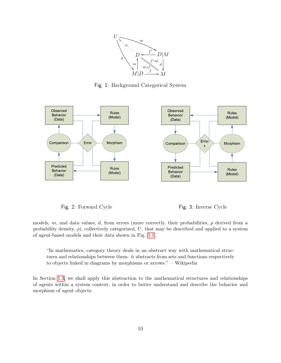

<span id="page-8-0"></span>Fig. 1: Background Categorical System



<span id="page-8-1"></span>Fig. 2: Forward Cycle Fig. 3: Inverse Cycle

<span id="page-8-2"></span>

models,  $m$ , and data values,  $d$ , from errors (more correctly, their probabilities,  $p$  derived from a probability density,  $\rho$ ), collectively categorized, U, that may be described and applied to a system of agent-based models and their data shown in Fig. [1.1.](#page-8-0)

"In mathematics, category theory deals in an abstract way with mathematical structures and relationships between them: it abstracts from sets and functions respectively to objects linked in diagrams by morphisms or arrows." – Wikipedia

In Section [1.3,](#page-10-1) we shall apply this abstraction to the mathematical structures and relationships of agents within a system context, in order to better understand and describe the behavior and morphism of agent objects.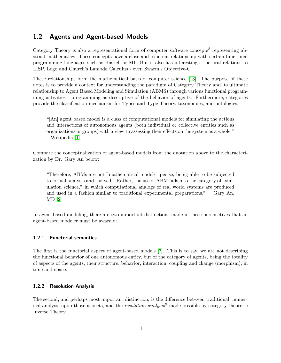## <span id="page-9-0"></span>1.2 Agents and Agent-based Models

Category Theory is also a representational form of computer software concepts<sup>8</sup> representing abstract mathematics. These concepts have a close and coherent relationship with certain functional programming languages such as Haskell or ML. But it also has interesting structural relations to LISP, Logo and Church's Lambda Calculus - even Swarm's Objective-C.

These relationships form the mathematical basis of computer science [\[13\]](#page-17-5). The purpose of these notes is to provide a context for understanding the paradigm of Category Theory and its ultimate relationship to Agent Based Modeling and Simulation (ABMS) through various functional programming activities - programming as descriptive of the behavior of agents. Furthermore, categories provide the classification mechanism for Types and Type Theory, taxonomies, and ontologies.

"[An] agent based model is a class of computational models for simulating the actions and interactions of autonomous agents (both individual or collective entities such as organizations or groups) with a view to assessing their effects on the system as a whole." – Wikipedia [\[1\]](#page-16-1)

Compare the conceptualization of agent-based models from the quotation above to the characterization by Dr. Gary An below:

"Therefore, ABMs are not "mathematical models" per se, being able to be subjected to formal analysis and "solved." Rather, the use of ABM falls into the category of "simulation science," in which computational analogs of real world systems are produced and used in a fashion similar to traditional experimental preparations." – Gary An, MD [\[2\]](#page-16-2)

In agent-based modeling, there are two important distinctions made in these perspectives that an agent-based modeler must be aware of.

#### <span id="page-9-1"></span>1.2.1 Functorial semantics

The first is the functorial aspect of agent-based models [\[7\]](#page-17-1). This is to say, we are not describing the functional behavior of one autonomous entity, but of the category of agents, being the totality of aspects of the agents, their structure, behavior, interaction, coupling and change (morphism), in time and space.

#### <span id="page-9-2"></span>1.2.2 Resolution Analysis

The second, and perhaps most important distinction, is the difference between traditional, numerical analysis upon those aspects, and the *resolution analysis*<sup>9</sup> made possible by category-theoretic Inverse Theory.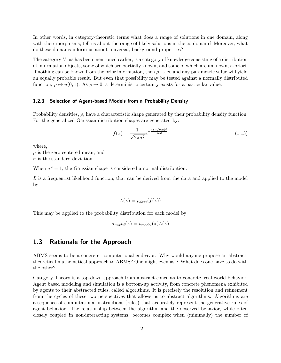In other words, in category-theoretic terms what does a range of solutions in one domain, along with their morphisms, tell us about the range of likely solutions in the co-domain? Moreover, what do these domains inform us about universal, background properties?

The category  $U$ , as has been mentioned earlier, is a category of knowledge consisting of a distribution of information objects, some of which are partially known, and some of which are unknown, a-priori. If nothing can be known from the prior information, then  $\rho \to \infty$  and any parametric value will yield an equally probable result. But even that possibility may be tested against a normally distributed function,  $\rho \mapsto u(0, 1)$ . As  $\rho \to 0$ , a deterministic certainty exists for a particular value.

#### <span id="page-10-0"></span>1.2.3 Selection of Agent-based Models from a Probability Density

Probability densities,  $\rho$ , have a characteristic shape generated by their probability density function. For the generalized Gaussian distribution shapes are generated by:

$$
f(x) = \frac{1}{\sqrt{2\pi\sigma^2}} e^{-\frac{(x - /mu)^2}{2\sigma^2}}
$$
(1.13)

where,

 $\mu$  is the zero-centered mean, and  $\sigma$  is the standard deviation.

When  $\sigma^2 = 1$ , the Gaussian shape is considered a normal distribution.

L is a frequentist likelihood function, that can be derived from the data and applied to the model by:

$$
L(\mathbf{x}) = \rho_{data}(f(\mathbf{x}))
$$

This may be applied to the probability distribution for each model by:

$$
\sigma_{model}(\mathbf{x}) = \rho_{model}(\mathbf{x}) L(\mathbf{x})
$$

### <span id="page-10-1"></span>1.3 Rationale for the Approach

ABMS seems to be a concrete, computational endeavor. Why would anyone propose an abstract, theoretical mathematical approach to ABMS? One might even ask: What does one have to do with the other?

Category Theory is a top-down approach from abstract concepts to concrete, real-world behavior. Agent based modeling and simulation is a bottom-up activity, from concrete phenomena exhibited by agents to their abstracted rules, called algorithms. It is precisely the resolution and refinement from the cycles of these two perspectives that allows us to abstract algorithms. Algorithms are a sequence of computational instructions (rules) that accurately represent the generative rules of agent behavior. The relationship between the algorithm and the observed behavior, while often closely coupled in non-interacting systems, becomes complex when (minimally) the number of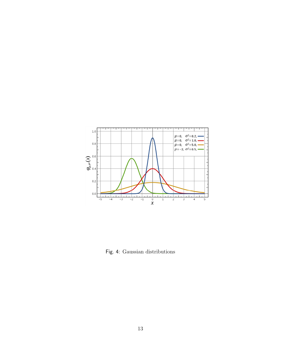

<span id="page-11-0"></span>Fig. 4: Gaussian distributions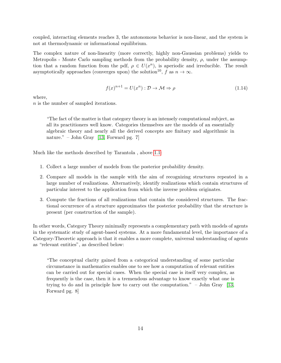coupled, interacting elements reaches 3, the autonomous behavior is non-linear, and the system is not at thermodynamic or informational equilibrium.

The complex nature of non-linearity (more correctly, highly non-Gaussian problems) yields to Metropolis - Monte Carlo sampling methods from the probability density,  $\rho$ , under the assumption that a random function from the pdf,  $\rho \in U(x^n)$ , is aperiodic and irreducible. The result asymptotically approaches (converges upon) the solution<sup>10</sup>, f as  $n \to \infty$ .

<span id="page-12-0"></span>
$$
f(x)^{n+1} = U(x^n) : \mathcal{D} \to \mathcal{M} \Rightarrow \rho \tag{1.14}
$$

where,

n is the number of sampled iterations.

"The fact of the matter is that category theory is an intensely computational subject, as all its practitioners well know. Categories themselves are the models of an essentially algebraic theory and nearly all the derived concepts are finitary and algorithmic in nature." – John Gray [\[13,](#page-17-5) Forward pg. 7]

Much like the methods described by Tarantola , above [1.1:](#page-5-1)

- 1. Collect a large number of models from the posterior probability density.
- 2. Compare all models in the sample with the aim of recognizing structures repeated in a large number of realizations. Alternatively, identify realizations which contain structures of particular interest to the application from which the inverse problem originates.
- 3. Compute the fractions of all realizations that contain the considered structures. The fractional occurrence of a structure approximates the posterior probability that the structure is present (per construction of the sample).

In other words, Category Theory minimally represents a complementary path with models of agents in the systematic study of agent-based systems. At a more fundamental level, the importance of a Category-Theoretic approach is that it enables a more complete, universal understanding of agents as "relevant entities", as described below:

"The conceptual clarity gained from a categorical understanding of some particular circumstance in mathematics enables one to see how a computation of relevant entities can be carried out for special cases. When the special case is itself very complex, as frequently is the case, then it is a tremendous advantage to know exactly what one is trying to do and in principle how to carry out the computation." – John Gray [\[13,](#page-17-5) Forward pg. 8]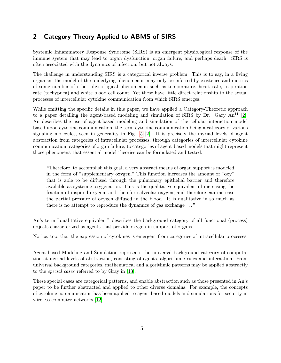## <span id="page-13-0"></span>2 Category Theory Applied to ABMS of SIRS

Systemic Inflammatory Response Syndrome (SIRS) is an emergent physiological response of the immune system that may lead to organ dysfunction, organ failure, and perhaps death. SIRS is often associated with the dynamics of infection, but not always.

The challenge in understanding SIRS is a categorical inverse problem. This is to say, in a living organism the model of the underlying phenomenon may only be inferred by existence and metrics of some number of other physiological phenomenon such as temperature, heart rate, respiration rate (tachypnea) and white blood cell count. Yet these have little direct relationship to the actual processes of intercellular cytokine communication from which SIRS emerges.

While omitting the specific details in this paper, we have applied a Category-Theoretic approach to a paper detailing the agent-based modeling and simulation of SIRS by Dr. Gary  $An^{11}$  [\[2\]](#page-16-2). An describes the use of agent-based modeling and simulation of the cellular interaction model based upon cytokine communication, the term cytokine communication being a category of various signaling molecules, seen in generality in Fig. [5](#page-14-1) [\[2\]](#page-16-2). It is precisely the myriad levels of agent abstraction from categories of intracellular processes, through categories of intercellular cytokine communication, categories of organ failure, to categories of agent-based models that might represent those phenomena that essential model theories can be formulated and tested.

"Therefore, to accomplish this goal, a very abstract means of organ support is modeled in the form of "supplementary oxygen." This function increases the amount of "oxy" that is able to be diffused through the pulmonary epithelial barrier and therefore available as systemic oxygenation. This is the qualitative equivalent of increasing the fraction of inspired oxygen, and therefore alveolar oxygen, and therefore can increase the partial pressure of oxygen diffused in the blood. It is qualitative in so much as there is no attempt to reproduce the dynamics of gas exchange . . . "

An's term "qualitative equivalent" describes the background category of all functional (process) objects characterized as agents that provide oxygen in support of organs.

Notice, too, that the expression of cytokines is emergent from categories of intracellular processes.

Agent-based Modeling and Simulation represents the universal background category of computation at myriad levels of abstraction, consisting of agents, algorithmic rules and interaction. From universal background categories, mathematical and algorithmic patterns may be applied abstractly to the special cases referred to by Gray in [\[13\]](#page-17-5).

These special cases are categorical patterns, and enable abstraction such as those presented in An's paper to be further abstracted and applied to other diverse domains. For example, the concepts of cytokine communication has been applied to agent-based models and simulations for security in wireless computer networks [\[12\]](#page-17-6).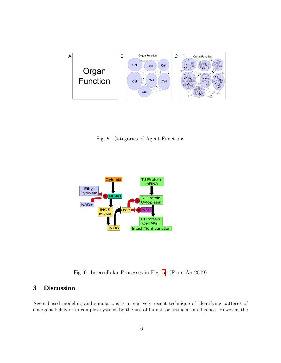

<span id="page-14-1"></span>Fig. 5: Categories of Agent Functions



<span id="page-14-2"></span>Fig. 6: Intercellular Processes in Fig. [5c](#page-14-1) (From An 2009)

## <span id="page-14-0"></span>3 Discussion

Agent-based modeling and simulations is a relatively recent technique of identifying patterns of emergent behavior in complex systems by the use of human or artificial intelligence. However, the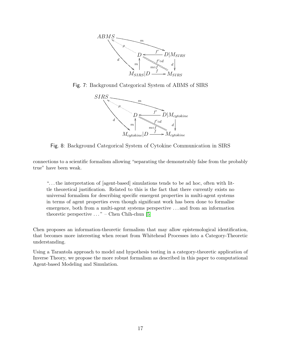

Fig. 7: Background Categorical System of ABMS of SIRS

<span id="page-15-0"></span>

<span id="page-15-1"></span>Fig. 8: Background Categorical System of Cytokine Communication in SIRS

connections to a scientific formalism allowing "separating the demonstrably false from the probably true" have been weak.

". . . the interpretation of [agent-based] simulations tends to be ad hoc, often with little theoretical justification. Related to this is the fact that there currently exists no universal formalism for describing specific emergent properties in multi-agent systems in terms of agent properties even though significant work has been done to formalise emergence, both from a multi-agent systems perspective . . . and from an information theoretic perspective  $\dots$ " – Chen Chih-chun [\[5\]](#page-17-7)

Chen proposes an information-theoretic formalism that may allow epistemological identification, that becomes more interesting when recast from Whitehead Processes into a Category-Theoretic understanding.

Using a Tarantola approach to model and hypothesis testing in a category-theoretic application of Inverse Theory, we propose the more robust formalism as described in this paper to computational Agent-based Modeling and Simulation.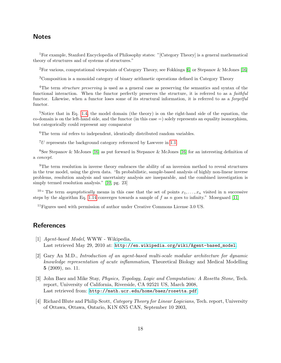## **Notes**

<sup>1</sup>For example, Stanford Encyclopedia of Philosophy states: "[Category Theory] is a general mathematical theory of structures and of systems of structures."

<sup>2</sup>For various, computational viewpoints of Category Theory, see Fokkinga [\[6\]](#page-17-8) or Stepanov & McJones [\[16\]](#page-18-2)

<sup>3</sup>Composition is a monoidal category of binary arithmetic operations defined in Category Theory

<sup>4</sup>The term *structure preserving* is used as a general case as preserving the semantics and syntax of the functional interaction. When the functor perfectly preserves the structure, it is referred to as a *faithful* functor. Likewise, when a functor loses some of its structural information, it is referred to as a *forgetful* functor.

<sup>5</sup>Notice that in Eq. [1.4,](#page-6-1) the model domain (the theory) is on the right-hand side of the equation, the co-domain is on the left-hand side, and the functor (in this case =) solely represents an equality isomorphism, but categorically could represent any comparator

 ${}^{6}$ The term *iid* refers to independent, identically distributed random variables.

 ${}^{7}U$  represents the background category referenced by Lawvere in [1.1.](#page-4-1)

<sup>8</sup>See Stepanov & McJones [\[16\]](#page-18-2) as put forward in Stepanov & McJones [\[16\]](#page-18-2) for an interesting definition of a concept.

<sup>9</sup>The term resolution in inverse theory embraces the ability of an inversion method to reveal structures in the true model, using the given data. "In probabilistic, sample-based analysis of highly non-linear inverse problems, resolution analysis and uncertainty analysis are inseparable, and the combined investigation is simply termed resolution analysis." [\[10,](#page-17-4) pg. 23]

<sup>10"</sup> The term *asymptotically* means in this case that the set of points  $x_1, \ldots, x_n$  visited in n successive steps by the algorithm Eq. [1.14](#page-12-0) converges towards a sample of f as n goes to infinity." Mosegaard [\[11\]](#page-17-9)

 $11$  Figures used with permission of author under Creative Commons License 3.0 US.

## **References**

- <span id="page-16-1"></span>[1] Agent-based Model, WWW - Wikipedia, Last retrieved May 29, 2010 at: [http://en.wikipedia.org/wiki/Agent-based\\_model](http://en.wikipedia.org/wiki/Agent-based_model).
- <span id="page-16-2"></span>[2] Gary An M.D., Introduction of an agent-based multi-scale modular architecture for dynamic knowledge representation of acute inflammation, Theoretical Biology and Medical Modelling 5 (2009), no. 11.
- <span id="page-16-0"></span>[3] John Baez and Mike Stay, *Physics, Topology, Logic and Computation: A Rosetta Stone*, Tech. report, University of California, Riverside, CA 92521 US, March 2008, Last retrieved from: <http://math.ucr.edu/home/baez/rosetta.pdf>.
- [4] Richard Blute and Philip Scott, Category Theory for Linear Logicians, Tech. report, University of Ottawa, Ottawa, Ontario, K1N 6N5 CAN, September 10 2003,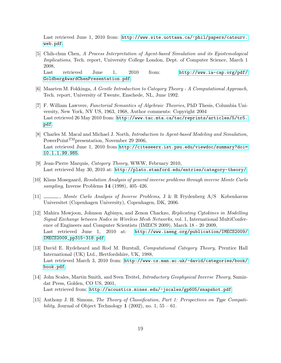Last retrieved June 1, 2010 from: [http://www.site.uottawa.ca/~phil/papers/catsurv.](http://www.site.uottawa.ca/~phil/papers/catsurv.web.pdf) [web.pdf](http://www.site.uottawa.ca/~phil/papers/catsurv.web.pdf).

<span id="page-17-7"></span>[5] Chih-chun Chen, A Process Interpretation of Agent-based Simulation and its Epistemological Implications, Tech. report, University College London, Dept. of Computer Science, March 1 2008,

Last retrieved June 1, 2010 from: [http://www.ia-cap.org/pdf/](http://www.ia-cap.org/pdf/GoldbergAwardChenPresentation.pdf) [GoldbergAwardChenPresentation.pdf](http://www.ia-cap.org/pdf/GoldbergAwardChenPresentation.pdf).

- <span id="page-17-8"></span>[6] Maarten M. Fokkinga, A Gentle Introduction to Category Theory - A Computational Approach, Tech. report, University of Twente, Enschede, NL, June 1992.
- <span id="page-17-1"></span>[7] F. William Lawvere, Functorial Semantics of Algebraic Theories, PhD Thesis, Columbia University, New York, NY US, 1963, 1968, Author comments: Copyright 2004 Last retrieved 26 May 2010 from: [http://www.tac.mta.ca/tac/reprints/articles/5/tr5.](http://www.tac.mta.ca/tac/reprints/articles/5/tr5.pdf) [pdf](http://www.tac.mta.ca/tac/reprints/articles/5/tr5.pdf).
- [8] Charles M. Macal and Michael J. North, Introduction to Agent-based Modeling and Simulation, PowerPoint<sup>TM</sup>presentation, November 29 2006, Last retrieved June 1, 2010 from [http://citeseerx.ist.psu.edu/viewdoc/summary?doi=](http://citeseerx.ist.psu.edu/viewdoc/summary?doi=10.1.1.99.985) [10.1.1.99.985](http://citeseerx.ist.psu.edu/viewdoc/summary?doi=10.1.1.99.985).
- <span id="page-17-0"></span>[9] Jean-Pierre Marquis, Category Theory, WWW, February 2010, Last retrieved May 30, 2010 at: <http://plato.stanford.edu/entries/category-theory/>.
- <span id="page-17-4"></span>[10] Klaus Mosegaard, Resolution Analysis of general inverse problems through inverse Monte Carlo sampling, Inverse Problems 14 (1998), 405–426.
- <span id="page-17-9"></span>[11] , Monte Carlo Analysis of Inverse Problems, J & R Frydenberg A/S Københavns Universitet (Copenhagen University), Copenhagen, DK, 2006.
- <span id="page-17-6"></span>[12] Mahira Mowjoon, Johnson Agbinya, and Zenon Chackzo, Replicating Cytokines in Modelling Signal Exchange between Nodes in Wireless Mesh Networks, vol. 1, International MultiConference of Engineers and Computer Scientists (IMECS 2009), March 18 - 20 2009, Last retrieved June 1, 2010 at: [http://www.iaeng.org/publication/IMECS2009/](http://www.iaeng.org/publication/IMECS2009/IMECS2009_pp315-318.pdf) [IMECS2009\\_pp315-318.pdf](http://www.iaeng.org/publication/IMECS2009/IMECS2009_pp315-318.pdf).
- <span id="page-17-5"></span>[13] David E. Rydeheard and Rod M. Burstall, Computational Category Theory, Prentice Hall International (UK) Ltd., Hertfordshire, UK, 1988, Last retrieved March 3, 2010 from: [http://www.cs.man.ac.uk/~david/categories/book/](http://www.cs.man.ac.uk/~david/categories/book/book.pdf) [book.pdf](http://www.cs.man.ac.uk/~david/categories/book/book.pdf).
- <span id="page-17-3"></span>[14] John Scales, Martin Smith, and Sven Treitel, Introductory Geophysical Inverse Theory, Samizdat Press, Golden, CO US, 2001, Last retrieved from: <http://acoustics.mines.edu/~jscales/gp605/snapshot.pdf>.
- <span id="page-17-2"></span>[15] Anthony J. H. Simons, The Theory of Classification, Part 1: Perspectives on Type Compatibility, Journal of Object Technology 1 (2002), no. 1,  $55 - 61$ .